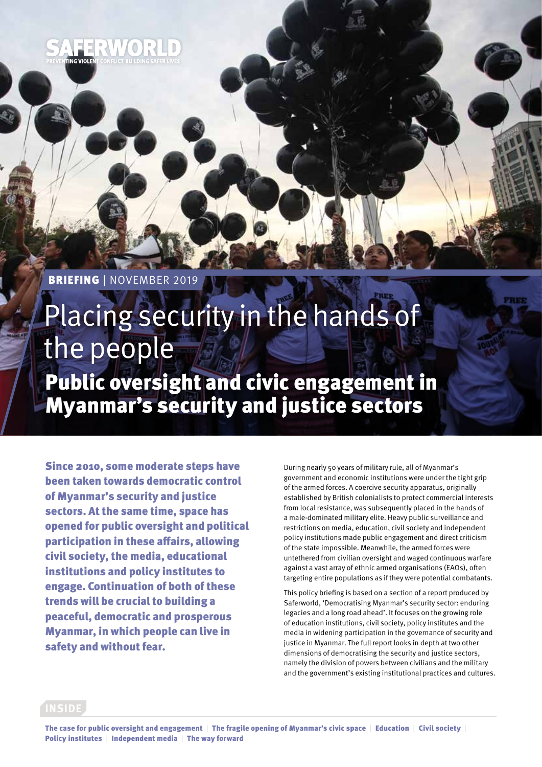

# Placing security in the hands of the people Public oversight and civic engagement in

Myanmar's security and justice sectors

Since 2010, some moderate steps have been taken towards democratic control of Myanmar's security and justice sectors. At the same time, space has opened for public oversight and political participation in these affairs, allowing civil society, the media, educational institutions and policy institutes to engage. Continuation of both of these trends will be crucial to building a peaceful, democratic and prosperous Myanmar, in which people can live in safety and without fear.

During nearly 50 years of military rule, all of Myanmar's government and economic institutions were under the tight grip of the armed forces. A coercive security apparatus, originally established by British colonialists to protect commercial interests from local resistance, was subsequently placed in the hands of a male-dominated military elite. Heavy public surveillance and restrictions on media, education, civil society and independent policy institutions made public engagement and direct criticism of the state impossible. Meanwhile, the armed forces were untethered from civilian oversight and waged continuous warfare against a vast array of ethnic armed organisations (EAOs), often targeting entire populations as if they were potential combatants.

This policy briefing is based on a section of a report produced by Saferworld, 'Democratising Myanmar's security sector: enduring legacies and a long road ahead'. It focuses on the growing role of education institutions, civil society, policy institutes and the media in widening participation in the governance of security and justice in Myanmar. The full report looks in depth at two other dimensions of democratising the security and justice sectors, namely the division of powers between civilians and the military and the government's existing institutional practices and cultures.

#### **INSIDE**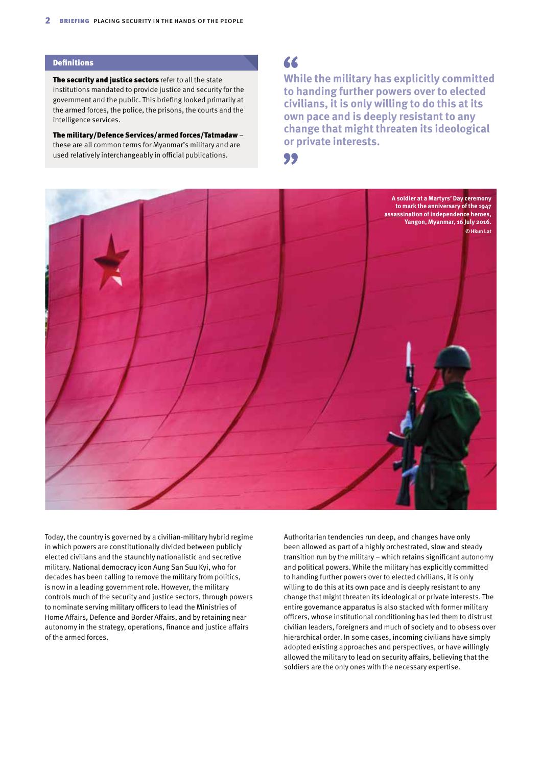#### **Definitions**

The security and justice sectors refer to all the state institutions mandated to provide justice and security for the government and the public. This briefing looked primarily at the armed forces, the police, the prisons, the courts and the intelligence services.

The military/Defence Services/armed forces/Tatmadaw – these are all common terms for Myanmar's military and are used relatively interchangeably in official publications.

#### 66

**While the military has explicitly committed to handing further powers over to elected civilians, it is only willing to do this at its own pace and is deeply resistant to any change that might threaten its ideological or private interests.**

99



Today, the country is governed by a civilian-military hybrid regime in which powers are constitutionally divided between publicly elected civilians and the staunchly nationalistic and secretive military. National democracy icon Aung San Suu Kyi, who for decades has been calling to remove the military from politics, is now in a leading government role. However, the military controls much of the security and justice sectors, through powers to nominate serving military officers to lead the Ministries of Home Affairs, Defence and Border Affairs, and by retaining near autonomy in the strategy, operations, finance and justice affairs of the armed forces.

Authoritarian tendencies run deep, and changes have only been allowed as part of a highly orchestrated, slow and steady transition run by the military – which retains significant autonomy and political powers. While the military has explicitly committed to handing further powers over to elected civilians, it is only willing to do this at its own pace and is deeply resistant to any change that might threaten its ideological or private interests. The entire governance apparatus is also stacked with former military officers, whose institutional conditioning has led them to distrust civilian leaders, foreigners and much of society and to obsess over hierarchical order. In some cases, incoming civilians have simply adopted existing approaches and perspectives, or have willingly allowed the military to lead on security affairs, believing that the soldiers are the only ones with the necessary expertise.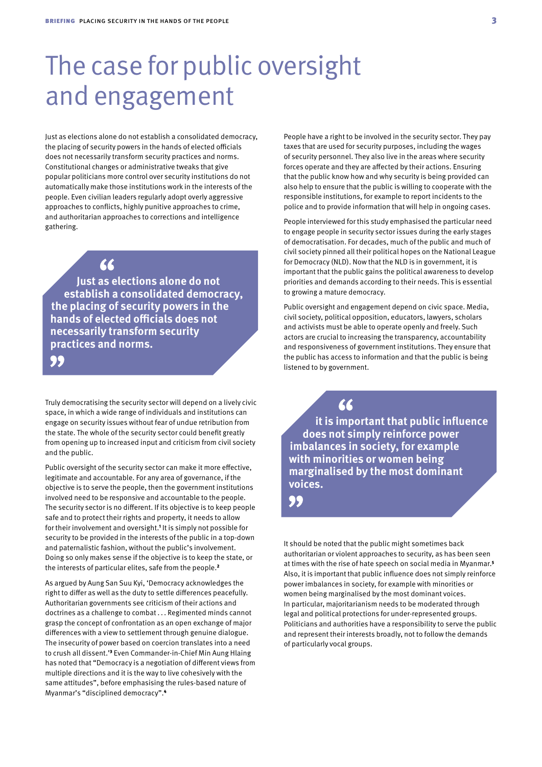## The case for public oversight and engagement

Just as elections alone do not establish a consolidated democracy, the placing of security powers in the hands of elected officials does not necessarily transform security practices and norms. Constitutional changes or administrative tweaks that give popular politicians more control over security institutions do not automatically make those institutions work in the interests of the people. Even civilian leaders regularly adopt overly aggressive approaches to conflicts, highly punitive approaches to crime, and authoritarian approaches to corrections and intelligence gathering.

66

**Just as elections alone do not establish a consolidated democracy, the placing of security powers in the hands of elected officials does not necessarily transform security practices and norms.**

#### 99

Truly democratising the security sector will depend on a lively civic space, in which a wide range of individuals and institutions can engage on security issues without fear of undue retribution from the state. The whole of the security sector could benefit greatly from opening up to increased input and criticism from civil society and the public.

Public oversight of the security sector can make it more effective, legitimate and accountable. For any area of governance, if the objective is to serve the people, then the government institutions involved need to be responsive and accountable to the people. The security sector is no different. If its objective is to keep people safe and to protect their rights and property, it needs to allow for their involvement and oversight.1 It is simply not possible for security to be provided in the interests of the public in a top-down and paternalistic fashion, without the public's involvement. Doing so only makes sense if the objective is to keep the state, or the interests of particular elites, safe from the people.<sup>2</sup>

As argued by Aung San Suu Kyi, 'Democracy acknowledges the right to differ as well as the duty to settle differences peacefully. Authoritarian governments see criticism of their actions and doctrines as a challenge to combat . . . Regimented minds cannot grasp the concept of confrontation as an open exchange of major differences with a view to settlement through genuine dialogue. The insecurity of power based on coercion translates into a need to crush all dissent.'<sup>3</sup> Even Commander-in-Chief Min Aung Hlaing has noted that "Democracy is a negotiation of different views from multiple directions and it is the way to live cohesively with the same attitudes", before emphasising the rules-based nature of Myanmar's "disciplined democracy".<sup>4</sup>

People have a right to be involved in the security sector. They pay taxes that are used for security purposes, including the wages of security personnel. They also live in the areas where security forces operate and they are affected by their actions. Ensuring that the public know how and why security is being provided can also help to ensure that the public is willing to cooperate with the responsible institutions, for example to report incidents to the police and to provide information that will help in ongoing cases.

People interviewed for this study emphasised the particular need to engage people in security sector issues during the early stages of democratisation. For decades, much of the public and much of civil society pinned all their political hopes on the National League for Democracy (NLD). Now that the NLD is in government, it is important that the public gains the political awareness to develop priorities and demands according to their needs. This is essential to growing a mature democracy.

Public oversight and engagement depend on civic space. Media, civil society, political opposition, educators, lawyers, scholars and activists must be able to operate openly and freely. Such actors are crucial to increasing the transparency, accountability and responsiveness of government institutions. They ensure that the public has access to information and that the public is being listened to by government.

**it is important that public influence does not simply reinforce power imbalances in society, for example with minorities or women being marginalised by the most dominant voices.**

99

It should be noted that the public might sometimes back authoritarian or violent approaches to security, as has been seen at times with the rise of hate speech on social media in Myanmar.<sup>5</sup> Also, it is important that public influence does not simply reinforce power imbalances in society, for example with minorities or women being marginalised by the most dominant voices. In particular, majoritarianism needs to be moderated through legal and political protections for under-represented groups. Politicians and authorities have a responsibility to serve the public and represent their interests broadly, not to follow the demands of particularly vocal groups.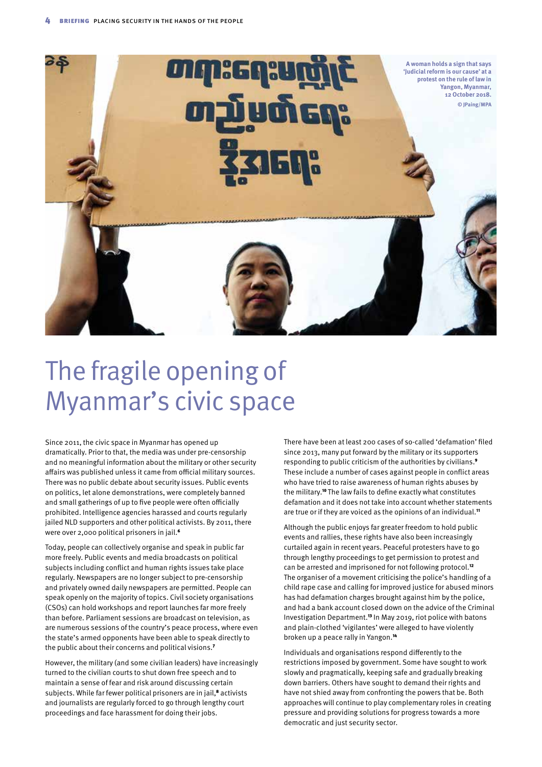

## The fragile opening of Myanmar's civic space

Since 2011, the civic space in Myanmar has opened up dramatically. Prior to that, the media was under pre-censorship and no meaningful information about the military or other security affairs was published unless it came from official military sources. There was no public debate about security issues. Public events on politics, let alone demonstrations, were completely banned and small gatherings of up to five people were often officially prohibited. Intelligence agencies harassed and courts regularly jailed NLD supporters and other political activists. By 2011, there were over 2,000 political prisoners in jail.<sup>6</sup>

Today, people can collectively organise and speak in public far more freely. Public events and media broadcasts on political subjects including conflict and human rights issues take place regularly. Newspapers are no longer subject to pre-censorship and privately owned daily newspapers are permitted. People can speak openly on the majority of topics. Civil society organisations (CSOs) can hold workshops and report launches far more freely than before. Parliament sessions are broadcast on television, as are numerous sessions of the country's peace process, where even the state's armed opponents have been able to speak directly to the public about their concerns and political visions.<sup>7</sup>

However, the military (and some civilian leaders) have increasingly turned to the civilian courts to shut down free speech and to maintain a sense of fear and risk around discussing certain subjects. While far fewer political prisoners are in jail,<sup>8</sup> activists and journalists are regularly forced to go through lengthy court proceedings and face harassment for doing their jobs.

There have been at least 200 cases of so-called 'defamation' filed since 2013, many put forward by the military or its supporters responding to public criticism of the authorities by civilians.<sup>9</sup> These include a number of cases against people in conflict areas who have tried to raise awareness of human rights abuses by the military.10 The law fails to define exactly what constitutes defamation and it does not take into account whether statements are true or if they are voiced as the opinions of an individual.<sup>11</sup>

Although the public enjoys far greater freedom to hold public events and rallies, these rights have also been increasingly curtailed again in recent years. Peaceful protesters have to go through lengthy proceedings to get permission to protest and can be arrested and imprisoned for not following protocol.<sup>12</sup> The organiser of a movement criticising the police's handling of a child rape case and calling for improved justice for abused minors has had defamation charges brought against him by the police, and had a bank account closed down on the advice of the Criminal Investigation Department.13 In May 2019, riot police with batons and plain-clothed 'vigilantes' were alleged to have violently broken up a peace rally in Yangon.<sup>14</sup>

Individuals and organisations respond differently to the restrictions imposed by government. Some have sought to work slowly and pragmatically, keeping safe and gradually breaking down barriers. Others have sought to demand their rights and have not shied away from confronting the powers that be. Both approaches will continue to play complementary roles in creating pressure and providing solutions for progress towards a more democratic and just security sector.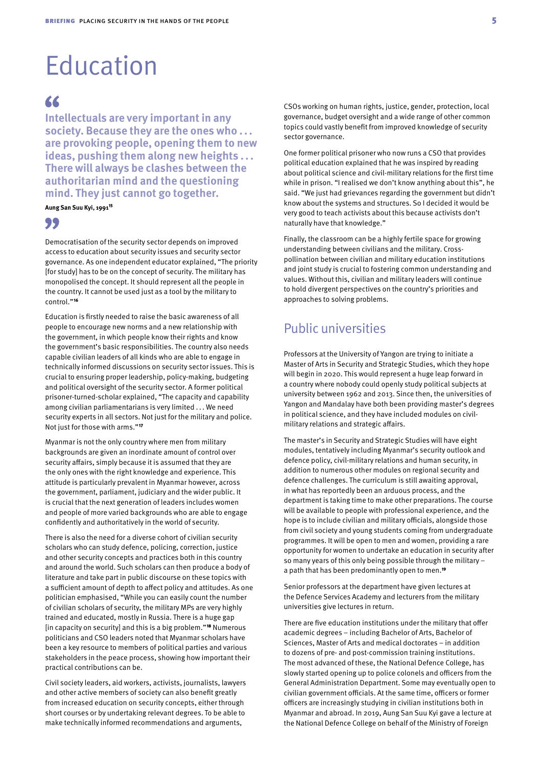## Education

### 66

**Intellectuals are very important in any society. Because they are the ones who . . . are provoking people, opening them to new ideas, pushing them along new heights . . . There will always be clashes between the authoritarian mind and the questioning mind. They just cannot go together.**

#### **Aung San Suu Kyi, 1991**<sup>15</sup>

#### "

Democratisation of the security sector depends on improved access to education about security issues and security sector governance. As one independent educator explained, "The priority [for study] has to be on the concept of security. The military has monopolised the concept. It should represent all the people in the country. It cannot be used just as a tool by the military to control."<sup>16</sup>

Education is firstly needed to raise the basic awareness of all people to encourage new norms and a new relationship with the government, in which people know their rights and know the government's basic responsibilities. The country also needs capable civilian leaders of all kinds who are able to engage in technically informed discussions on security sector issues. This is crucial to ensuring proper leadership, policy-making, budgeting and political oversight of the security sector. A former political prisoner-turned-scholar explained, "The capacity and capability among civilian parliamentarians is very limited . . . We need security experts in all sectors. Not just for the military and police. Not just for those with arms."<sup>17</sup>

Myanmar is not the only country where men from military backgrounds are given an inordinate amount of control over security affairs, simply because it is assumed that they are the only ones with the right knowledge and experience. This attitude is particularly prevalent in Myanmar however, across the government, parliament, judiciary and the wider public. It is crucial that the next generation of leaders includes women and people of more varied backgrounds who are able to engage confidently and authoritatively in the world of security.

There is also the need for a diverse cohort of civilian security scholars who can study defence, policing, correction, justice and other security concepts and practices both in this country and around the world. Such scholars can then produce a body of literature and take part in public discourse on these topics with a sufficient amount of depth to affect policy and attitudes. As one politician emphasised, "While you can easily count the number of civilian scholars of security, the military MPs are very highly trained and educated, mostly in Russia. There is a huge gap [in capacity on security] and this is a big problem."18 Numerous politicians and CSO leaders noted that Myanmar scholars have been a key resource to members of political parties and various stakeholders in the peace process, showing how important their practical contributions can be.

Civil society leaders, aid workers, activists, journalists, lawyers and other active members of society can also benefit greatly from increased education on security concepts, either through short courses or by undertaking relevant degrees. To be able to make technically informed recommendations and arguments,

CSOs working on human rights, justice, gender, protection, local governance, budget oversight and a wide range of other common topics could vastly benefit from improved knowledge of security sector governance.

One former political prisoner who now runs a CSO that provides political education explained that he was inspired by reading about political science and civil-military relations for the first time while in prison. "I realised we don't know anything about this", he said. "We just had grievances regarding the government but didn't know about the systems and structures. So I decided it would be very good to teach activists about this because activists don't naturally have that knowledge."

Finally, the classroom can be a highly fertile space for growing understanding between civilians and the military. Crosspollination between civilian and military education institutions and joint study is crucial to fostering common understanding and values. Without this, civilian and military leaders will continue to hold divergent perspectives on the country's priorities and approaches to solving problems.

### Public universities

Professors at the University of Yangon are trying to initiate a Master of Arts in Security and Strategic Studies, which they hope will begin in 2020. This would represent a huge leap forward in a country where nobody could openly study political subjects at university between 1962 and 2013. Since then, the universities of Yangon and Mandalay have both been providing master's degrees in political science, and they have included modules on civilmilitary relations and strategic affairs.

The master's in Security and Strategic Studies will have eight modules, tentatively including Myanmar's security outlook and defence policy, civil-military relations and human security, in addition to numerous other modules on regional security and defence challenges. The curriculum is still awaiting approval, in what has reportedly been an arduous process, and the department is taking time to make other preparations. The course will be available to people with professional experience, and the hope is to include civilian and military officials, alongside those from civil society and young students coming from undergraduate programmes. It will be open to men and women, providing a rare opportunity for women to undertake an education in security after so many years of this only being possible through the military – a path that has been predominantly open to men.<sup>19</sup>

Senior professors at the department have given lectures at the Defence Services Academy and lecturers from the military universities give lectures in return.

There are five education institutions under the military that offer academic degrees – including Bachelor of Arts, Bachelor of Sciences, Master of Arts and medical doctorates – in addition to dozens of pre- and post-commission training institutions. The most advanced of these, the National Defence College, has slowly started opening up to police colonels and officers from the General Administration Department. Some may eventually open to civilian government officials. At the same time, officers or former officers are increasingly studying in civilian institutions both in Myanmar and abroad. In 2019, Aung San Suu Kyi gave a lecture at the National Defence College on behalf of the Ministry of Foreign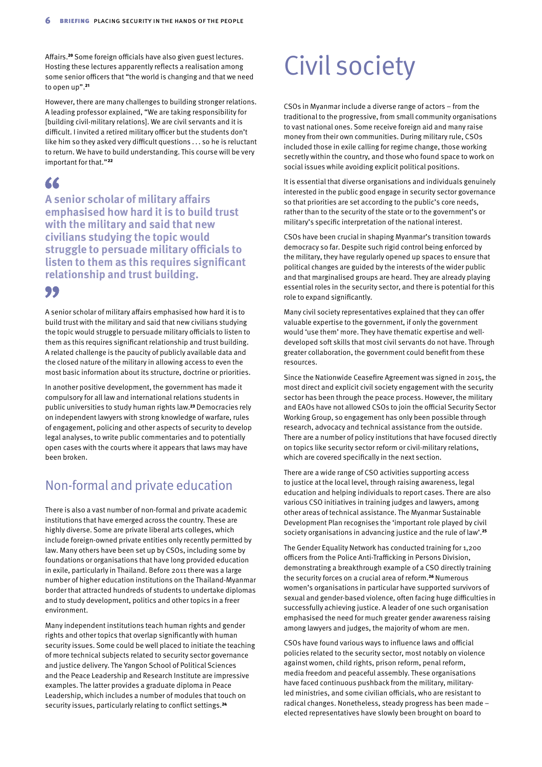Affairs.20 Some foreign officials have also given guest lectures. Hosting these lectures apparently reflects a realisation among some senior officers that "the world is changing and that we need to open up".<sup>21</sup>

However, there are many challenges to building stronger relations. A leading professor explained, "We are taking responsibility for [building civil-military relations]. We are civil servants and it is difficult. I invited a retired military officer but the students don't like him so they asked very difficult questions . . . so he is reluctant to return. We have to build understanding. This course will be very important for that."<sup>22</sup>

### 66

**A senior scholar of military affairs emphasised how hard it is to build trust with the military and said that new civilians studying the topic would struggle to persuade military officials to listen to them as this requires significant relationship and trust building.** 

#### 99

A senior scholar of military affairs emphasised how hard it is to build trust with the military and said that new civilians studying the topic would struggle to persuade military officials to listen to them as this requires significant relationship and trust building. A related challenge is the paucity of publicly available data and the closed nature of the military in allowing access to even the most basic information about its structure, doctrine or priorities.

In another positive development, the government has made it compulsory for all law and international relations students in public universities to study human rights law.23 Democracies rely on independent lawyers with strong knowledge of warfare, rules of engagement, policing and other aspects of security to develop legal analyses, to write public commentaries and to potentially open cases with the courts where it appears that laws may have been broken.

### Non-formal and private education

There is also a vast number of non-formal and private academic institutions that have emerged across the country. These are highly diverse. Some are private liberal arts colleges, which include foreign-owned private entities only recently permitted by law. Many others have been set up by CSOs, including some by foundations or organisations that have long provided education in exile, particularly in Thailand. Before 2011 there was a large number of higher education institutions on the Thailand-Myanmar border that attracted hundreds of students to undertake diplomas and to study development, politics and other topics in a freer environment.

Many independent institutions teach human rights and gender rights and other topics that overlap significantly with human security issues. Some could be well placed to initiate the teaching of more technical subjects related to security sector governance and justice delivery. The Yangon School of Political Sciences and the Peace Leadership and Research Institute are impressive examples. The latter provides a graduate diploma in Peace Leadership, which includes a number of modules that touch on security issues, particularly relating to conflict settings.<sup>24</sup>

# Civil society

CSOs in Myanmar include a diverse range of actors – from the traditional to the progressive, from small community organisations to vast national ones. Some receive foreign aid and many raise money from their own communities. During military rule, CSOs included those in exile calling for regime change, those working secretly within the country, and those who found space to work on social issues while avoiding explicit political positions.

It is essential that diverse organisations and individuals genuinely interested in the public good engage in security sector governance so that priorities are set according to the public's core needs, rather than to the security of the state or to the government's or military's specific interpretation of the national interest.

CSOs have been crucial in shaping Myanmar's transition towards democracy so far. Despite such rigid control being enforced by the military, they have regularly opened up spaces to ensure that political changes are guided by the interests of the wider public and that marginalised groups are heard. They are already playing essential roles in the security sector, and there is potential for this role to expand significantly.

Many civil society representatives explained that they can offer valuable expertise to the government, if only the government would 'use them' more. They have thematic expertise and welldeveloped soft skills that most civil servants do not have. Through greater collaboration, the government could benefit from these resources.

Since the Nationwide Ceasefire Agreement was signed in 2015, the most direct and explicit civil society engagement with the security sector has been through the peace process. However, the military and EAOs have not allowed CSOs to join the official Security Sector Working Group, so engagement has only been possible through research, advocacy and technical assistance from the outside. There are a number of policy institutions that have focused directly on topics like security sector reform or civil-military relations, which are covered specifically in the next section.

There are a wide range of CSO activities supporting access to justice at the local level, through raising awareness, legal education and helping individuals to report cases. There are also various CSO initiatives in training judges and lawyers, among other areas of technical assistance. The Myanmar Sustainable Development Plan recognises the 'important role played by civil society organisations in advancing justice and the rule of law'.<sup>25</sup>

The Gender Equality Network has conducted training for 1,200 officers from the Police Anti-Trafficking in Persons Division, demonstrating a breakthrough example of a CSO directly training the security forces on a crucial area of reform.<sup>26</sup> Numerous women's organisations in particular have supported survivors of sexual and gender-based violence, often facing huge difficulties in successfully achieving justice. A leader of one such organisation emphasised the need for much greater gender awareness raising among lawyers and judges, the majority of whom are men.

CSOs have found various ways to influence laws and official policies related to the security sector, most notably on violence against women, child rights, prison reform, penal reform, media freedom and peaceful assembly. These organisations have faced continuous pushback from the military, militaryled ministries, and some civilian officials, who are resistant to radical changes. Nonetheless, steady progress has been made – elected representatives have slowly been brought on board to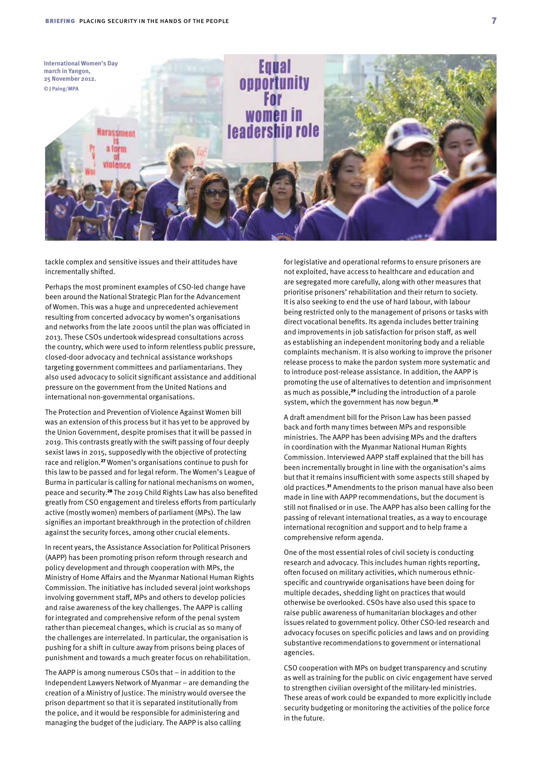

tackle complex and sensitive issues and their attitudes have incrementally shifted.

Perhaps the most prominent examples of CSO-led change have been around the National Strategic Plan for the Advancement of Women. This was a huge and unprecedented achievement resulting from concerted advocacy by women's organisations and networks from the late 2000s until the plan was officiated in 2013. These CSOs undertook widespread consultations across the country, which were used to inform relentless public pressure, closed-door advocacy and technical assistance workshops targeting government committees and parliamentarians. They also used advocacy to solicit significant assistance and additional pressure on the government from the United Nations and international non-governmental organisations.

The Protection and Prevention of Violence Against Women bill was an extension of this process but it has yet to be approved by the Union Government, despite promises that it will be passed in 2019. This contrasts greatly with the swift passing of four deeply sexist laws in 2015, supposedly with the objective of protecting race and religion.27 Women's organisations continue to push for this law to be passed and for legal reform. The Women's League of Burma in particular is calling for national mechanisms on women, peace and security.28 The 2019 Child Rights Law has also benefited greatly from CSO engagement and tireless efforts from particularly active (mostly women) members of parliament (MPs). The law signifies an important breakthrough in the protection of children against the security forces, among other crucial elements.

In recent years, the Assistance Association for Political Prisoners (AAPP) has been promoting prison reform through research and policy development and through cooperation with MPs, the Ministry of Home Affairs and the Myanmar National Human Rights Commission. The initiative has included several joint workshops involving government staff, MPs and others to develop policies and raise awareness of the key challenges. The AAPP is calling for integrated and comprehensive reform of the penal system rather than piecemeal changes, which is crucial as so many of the challenges are interrelated. In particular, the organisation is pushing for a shift in culture away from prisons being places of punishment and towards a much greater focus on rehabilitation.

The AAPP is among numerous CSOs that – in addition to the Independent Lawyers Network of Myanmar – are demanding the creation of a Ministry of Justice. The ministry would oversee the prison department so that it is separated institutionally from the police, and it would be responsible for administering and managing the budget of the judiciary. The AAPP is also calling

for legislative and operational reforms to ensure prisoners are not exploited, have access to healthcare and education and are segregated more carefully, along with other measures that prioritise prisoners' rehabilitation and their return to society. It is also seeking to end the use of hard labour, with labour being restricted only to the management of prisons or tasks with direct vocational benefits. Its agenda includes better training and improvements in job satisfaction for prison staff, as well as establishing an independent monitoring body and a reliable complaints mechanism. It is also working to improve the prisoner release process to make the pardon system more systematic and to introduce post-release assistance. In addition, the AAPP is promoting the use of alternatives to detention and imprisonment as much as possible,<sup>29</sup> including the introduction of a parole system, which the government has now begun.<sup>30</sup>

A draft amendment bill for the Prison Law has been passed back and forth many times between MPs and responsible ministries. The AAPP has been advising MPs and the drafters in coordination with the Myanmar National Human Rights Commission. Interviewed AAPP staff explained that the bill has been incrementally brought in line with the organisation's aims but that it remains insufficient with some aspects still shaped by old practices.31 Amendments to the prison manual have also been made in line with AAPP recommendations, but the document is still not finalised or in use. The AAPP has also been calling for the passing of relevant international treaties, as a way to encourage international recognition and support and to help frame a comprehensive reform agenda.

One of the most essential roles of civil society is conducting research and advocacy. This includes human rights reporting, often focused on military activities, which numerous ethnicspecific and countrywide organisations have been doing for multiple decades, shedding light on practices that would otherwise be overlooked. CSOs have also used this space to raise public awareness of humanitarian blockages and other issues related to government policy. Other CSO-led research and advocacy focuses on specific policies and laws and on providing substantive recommendations to government or international agencies.

CSO cooperation with MPs on budget transparency and scrutiny as well as training for the public on civic engagement have served to strengthen civilian oversight of the military-led ministries. These areas of work could be expanded to more explicitly include security budgeting or monitoring the activities of the police force in the future.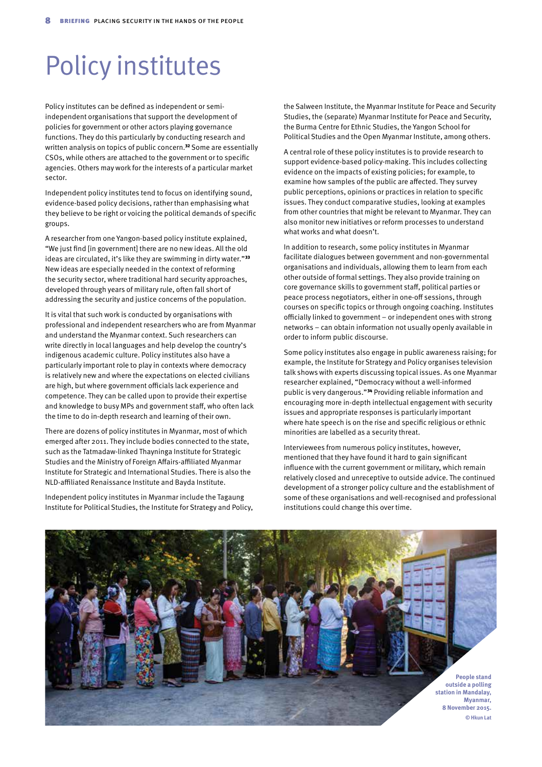## Policy institutes

Policy institutes can be defined as independent or semiindependent organisations that support the development of policies for government or other actors playing governance functions. They do this particularly by conducting research and written analysis on topics of public concern.<sup>32</sup> Some are essentially CSOs, while others are attached to the government or to specific agencies. Others may work for the interests of a particular market sector.

Independent policy institutes tend to focus on identifying sound, evidence-based policy decisions, rather than emphasising what they believe to be right or voicing the political demands of specific groups.

A researcher from one Yangon-based policy institute explained, "We just find [in government] there are no new ideas. All the old ideas are circulated, it's like they are swimming in dirty water."<sup>33</sup> New ideas are especially needed in the context of reforming the security sector, where traditional hard security approaches, developed through years of military rule, often fall short of addressing the security and justice concerns of the population.

It is vital that such work is conducted by organisations with professional and independent researchers who are from Myanmar and understand the Myanmar context. Such researchers can write directly in local languages and help develop the country's indigenous academic culture. Policy institutes also have a particularly important role to play in contexts where democracy is relatively new and where the expectations on elected civilians are high, but where government officials lack experience and competence. They can be called upon to provide their expertise and knowledge to busy MPs and government staff, who often lack the time to do in-depth research and learning of their own.

There are dozens of policy institutes in Myanmar, most of which emerged after 2011. They include bodies connected to the state, such as the Tatmadaw-linked Thayninga Institute for Strategic Studies and the Ministry of Foreign Affairs-affiliated Myanmar Institute for Strategic and International Studies. There is also the NLD-affiliated Renaissance Institute and Bayda Institute.

Independent policy institutes in Myanmar include the Tagaung Institute for Political Studies, the Institute for Strategy and Policy, the Salween Institute, the Myanmar Institute for Peace and Security Studies, the (separate) Myanmar Institute for Peace and Security, the Burma Centre for Ethnic Studies, the Yangon School for Political Studies and the Open Myanmar Institute, among others.

A central role of these policy institutes is to provide research to support evidence-based policy-making. This includes collecting evidence on the impacts of existing policies; for example, to examine how samples of the public are affected. They survey public perceptions, opinions or practices in relation to specific issues. They conduct comparative studies, looking at examples from other countries that might be relevant to Myanmar. They can also monitor new initiatives or reform processes to understand what works and what doesn't.

In addition to research, some policy institutes in Myanmar facilitate dialogues between government and non-governmental organisations and individuals, allowing them to learn from each other outside of formal settings. They also provide training on core governance skills to government staff, political parties or peace process negotiators, either in one-off sessions, through courses on specific topics or through ongoing coaching. Institutes officially linked to government – or independent ones with strong networks – can obtain information not usually openly available in order to inform public discourse.

Some policy institutes also engage in public awareness raising; for example, the Institute for Strategy and Policy organises television talk shows with experts discussing topical issues. As one Myanmar researcher explained, "Democracy without a well-informed public is very dangerous."34 Providing reliable information and encouraging more in-depth intellectual engagement with security issues and appropriate responses is particularly important where hate speech is on the rise and specific religious or ethnic minorities are labelled as a security threat.

Interviewees from numerous policy institutes, however, mentioned that they have found it hard to gain significant influence with the current government or military, which remain relatively closed and unreceptive to outside advice. The continued development of a stronger policy culture and the establishment of some of these organisations and well-recognised and professional institutions could change this over time.

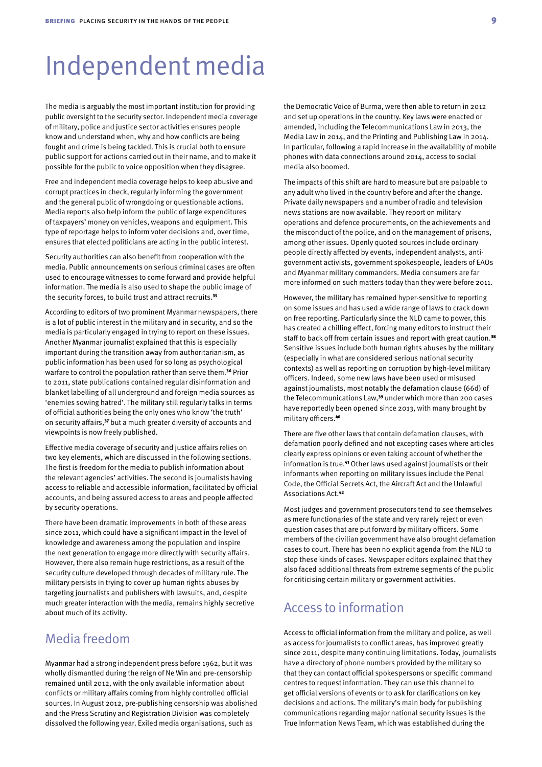### Independent media

The media is arguably the most important institution for providing public oversight to the security sector. Independent media coverage of military, police and justice sector activities ensures people know and understand when, why and how conflicts are being fought and crime is being tackled. This is crucial both to ensure public support for actions carried out in their name, and to make it possible for the public to voice opposition when they disagree.

Free and independent media coverage helps to keep abusive and corrupt practices in check, regularly informing the government and the general public of wrongdoing or questionable actions. Media reports also help inform the public of large expenditures of taxpayers' money on vehicles, weapons and equipment. This type of reportage helps to inform voter decisions and, over time, ensures that elected politicians are acting in the public interest.

Security authorities can also benefit from cooperation with the media. Public announcements on serious criminal cases are often used to encourage witnesses to come forward and provide helpful information. The media is also used to shape the public image of the security forces, to build trust and attract recruits.<sup>35</sup>

According to editors of two prominent Myanmar newspapers, there is a lot of public interest in the military and in security, and so the media is particularly engaged in trying to report on these issues. Another Myanmar journalist explained that this is especially important during the transition away from authoritarianism, as public information has been used for so long as psychological warfare to control the population rather than serve them.<sup>36</sup> Prior to 2011, state publications contained regular disinformation and blanket labelling of all underground and foreign media sources as 'enemies sowing hatred'. The military still regularly talks in terms of official authorities being the only ones who know 'the truth' on security affairs,<sup>37</sup> but a much greater diversity of accounts and viewpoints is now freely published.

Effective media coverage of security and justice affairs relies on two key elements, which are discussed in the following sections. The first is freedom for the media to publish information about the relevant agencies' activities. The second is journalists having access to reliable and accessible information, facilitated by official accounts, and being assured access to areas and people affected by security operations.

There have been dramatic improvements in both of these areas since 2011, which could have a significant impact in the level of knowledge and awareness among the population and inspire the next generation to engage more directly with security affairs. However, there also remain huge restrictions, as a result of the security culture developed through decades of military rule. The military persists in trying to cover up human rights abuses by targeting journalists and publishers with lawsuits, and, despite much greater interaction with the media, remains highly secretive about much of its activity.

### Media freedom

Myanmar had a strong independent press before 1962, but it was wholly dismantled during the reign of Ne Win and pre-censorship remained until 2012, with the only available information about conflicts or military affairs coming from highly controlled official sources. In August 2012, pre-publishing censorship was abolished and the Press Scrutiny and Registration Division was completely dissolved the following year. Exiled media organisations, such as

the Democratic Voice of Burma, were then able to return in 2012 and set up operations in the country. Key laws were enacted or amended, including the Telecommunications Law in 2013, the Media Law in 2014, and the Printing and Publishing Law in 2014. In particular, following a rapid increase in the availability of mobile phones with data connections around 2014, access to social media also boomed.

The impacts of this shift are hard to measure but are palpable to any adult who lived in the country before and after the change. Private daily newspapers and a number of radio and television news stations are now available. They report on military operations and defence procurements, on the achievements and the misconduct of the police, and on the management of prisons, among other issues. Openly quoted sources include ordinary people directly affected by events, independent analysts, antigovernment activists, government spokespeople, leaders of EAOs and Myanmar military commanders. Media consumers are far more informed on such matters today than they were before 2011.

However, the military has remained hyper-sensitive to reporting on some issues and has used a wide range of laws to crack down on free reporting. Particularly since the NLD came to power, this has created a chilling effect, forcing many editors to instruct their staff to back off from certain issues and report with great caution.<sup>38</sup> Sensitive issues include both human rights abuses by the military (especially in what are considered serious national security contexts) as well as reporting on corruption by high-level military officers. Indeed, some new laws have been used or misused against journalists, most notably the defamation clause (66d) of the Telecommunications Law,<sup>39</sup> under which more than 200 cases have reportedly been opened since 2013, with many brought by military officers.<sup>40</sup>

There are five other laws that contain defamation clauses, with defamation poorly defined and not excepting cases where articles clearly express opinions or even taking account of whether the information is true.<sup>41</sup> Other laws used against journalists or their informants when reporting on military issues include the Penal Code, the Official Secrets Act, the Aircraft Act and the Unlawful Associations Act.<sup>42</sup>

Most judges and government prosecutors tend to see themselves as mere functionaries of the state and very rarely reject or even question cases that are put forward by military officers. Some members of the civilian government have also brought defamation cases to court. There has been no explicit agenda from the NLD to stop these kinds of cases. Newspaper editors explained that they also faced additional threats from extreme segments of the public for criticising certain military or government activities.

#### Access to information

Access to official information from the military and police, as well as access for journalists to conflict areas, has improved greatly since 2011, despite many continuing limitations. Today, journalists have a directory of phone numbers provided by the military so that they can contact official spokespersons or specific command centres to request information. They can use this channel to get official versions of events or to ask for clarifications on key decisions and actions. The military's main body for publishing communications regarding major national security issues is the True Information News Team, which was established during the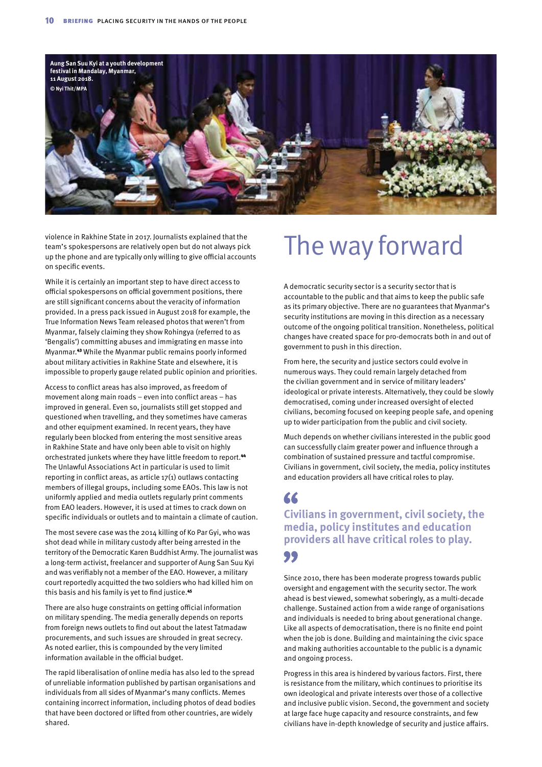

violence in Rakhine State in 2017. Journalists explained that the team's spokespersons are relatively open but do not always pick up the phone and are typically only willing to give official accounts on specific events.

While it is certainly an important step to have direct access to official spokespersons on official government positions, there are still significant concerns about the veracity of information provided. In a press pack issued in August 2018 for example, the True Information News Team released photos that weren't from Myanmar, falsely claiming they show Rohingya (referred to as 'Bengalis') committing abuses and immigrating en masse into Myanmar.43 While the Myanmar public remains poorly informed about military activities in Rakhine State and elsewhere, it is impossible to properly gauge related public opinion and priorities.

Access to conflict areas has also improved, as freedom of movement along main roads – even into conflict areas – has improved in general. Even so, journalists still get stopped and questioned when travelling, and they sometimes have cameras and other equipment examined. In recent years, they have regularly been blocked from entering the most sensitive areas in Rakhine State and have only been able to visit on highly orchestrated junkets where they have little freedom to report.<sup>44</sup> The Unlawful Associations Act in particular is used to limit reporting in conflict areas, as article 17(1) outlaws contacting members of illegal groups, including some EAOs. This law is not uniformly applied and media outlets regularly print comments from EAO leaders. However, it is used at times to crack down on specific individuals or outlets and to maintain a climate of caution.

The most severe case was the 2014 killing of Ko Par Gyi, who was shot dead while in military custody after being arrested in the territory of the Democratic Karen Buddhist Army. The journalist was a long-term activist, freelancer and supporter of Aung San Suu Kyi and was verifiably not a member of the EAO. However, a military court reportedly acquitted the two soldiers who had killed him on this basis and his family is yet to find justice.<sup>45</sup>

There are also huge constraints on getting official information on military spending. The media generally depends on reports from foreign news outlets to find out about the latest Tatmadaw procurements, and such issues are shrouded in great secrecy. As noted earlier, this is compounded by the very limited information available in the official budget.

The rapid liberalisation of online media has also led to the spread of unreliable information published by partisan organisations and individuals from all sides of Myanmar's many conflicts. Memes containing incorrect information, including photos of dead bodies that have been doctored or lifted from other countries, are widely shared.

# The way forward

A democratic security sector is a security sector that is accountable to the public and that aims to keep the public safe as its primary objective. There are no guarantees that Myanmar's security institutions are moving in this direction as a necessary outcome of the ongoing political transition. Nonetheless, political changes have created space for pro-democrats both in and out of government to push in this direction.

From here, the security and justice sectors could evolve in numerous ways. They could remain largely detached from the civilian government and in service of military leaders' ideological or private interests. Alternatively, they could be slowly democratised, coming under increased oversight of elected civilians, becoming focused on keeping people safe, and opening up to wider participation from the public and civil society.

Much depends on whether civilians interested in the public good can successfully claim greater power and influence through a combination of sustained pressure and tactful compromise. Civilians in government, civil society, the media, policy institutes and education providers all have critical roles to play.

### 66

#### **Civilians in government, civil society, the media, policy institutes and education providers all have critical roles to play.** 99

Since 2010, there has been moderate progress towards public oversight and engagement with the security sector. The work ahead is best viewed, somewhat soberingly, as a multi-decade challenge. Sustained action from a wide range of organisations and individuals is needed to bring about generational change. Like all aspects of democratisation, there is no finite end point when the job is done. Building and maintaining the civic space and making authorities accountable to the public is a dynamic and ongoing process.

Progress in this area is hindered by various factors. First, there is resistance from the military, which continues to prioritise its own ideological and private interests over those of a collective and inclusive public vision. Second, the government and society at large face huge capacity and resource constraints, and few civilians have in-depth knowledge of security and justice affairs.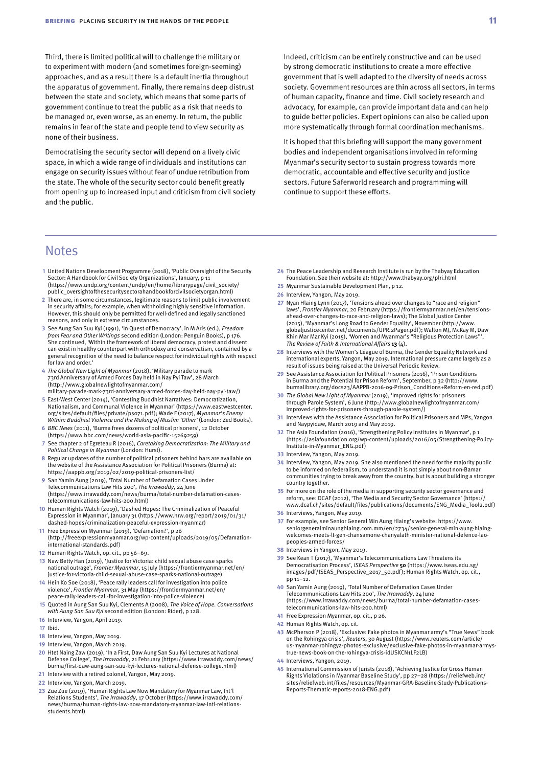Third, there is limited political will to challenge the military or to experiment with modern (and sometimes foreign-seeming) approaches, and as a result there is a default inertia throughout the apparatus of government. Finally, there remains deep distrust between the state and society, which means that some parts of government continue to treat the public as a risk that needs to be managed or, even worse, as an enemy. In return, the public remains in fear of the state and people tend to view security as none of their business.

Democratising the security sector will depend on a lively civic space, in which a wide range of individuals and institutions can engage on security issues without fear of undue retribution from the state. The whole of the security sector could benefit greatly from opening up to increased input and criticism from civil society and the public.

**Notes** 

- **1** United Nations Development Programme (2018), 'Public Oversight of the Security Sector: A Handbook for Civil Society Organizations', January, p 11 ([https://www.undp.org/content/undp/en/home/librarypage/civil\\_society/](https://www.undp.org/content/undp/en/home/librarypage/civil_society/public_oversightofthesecuritysectorahandbookforcivilsocietyorgan.html) [public\\_oversightofthesecuritysectorahandbookforcivilsocietyorgan.html](https://www.undp.org/content/undp/en/home/librarypage/civil_society/public_oversightofthesecuritysectorahandbookforcivilsocietyorgan.html))
- **2** There are, in some circumstances, legitimate reasons to limit public involvement in security affairs; for example, when withholding highly sensitive information. However, this should only be permitted for well-defined and legally sanctioned reasons, and only in extreme circumstances.
- **3** See Aung San Suu Kyi (1991), 'In Quest of Democracy', in M Aris (ed.), *Freedom from Fear and Other Writings* second edition (London: Penguin Books), p 176. She continued, 'Within the framework of liberal democracy, protest and dissent can exist in healthy counterpart with orthodoxy and conservatism, contained by a general recognition of the need to balance respect for individual rights with respect for law and order.'
- **4** *The Global New Light of Myanmar* (2018), 'Military parade to mark 73rd Anniversary of Armed Forces Day held in Nay Pyi Taw', 28 March ([http://www.globalnewlightofmyanmar.com/](http://www.globalnewlightofmyanmar.com/military-parade-mark-73rd-anniversary-armed-forces-day-held-nay-pyi-taw/) [military-parade-mark-73rd-anniversary-armed-forces-day-held-nay-pyi-taw/\)](http://www.globalnewlightofmyanmar.com/military-parade-mark-73rd-anniversary-armed-forces-day-held-nay-pyi-taw/)
- **5** East-West Center (2014), 'Contesting Buddhist Narratives: Democratization, Nationalism, and Communal Violence in Myanmar' ([https://www.eastwestcenter.](https://www.eastwestcenter.org/sites/default/files/private/ps071.pdf) [org/sites/default/files/private/ps071.pdf](https://www.eastwestcenter.org/sites/default/files/private/ps071.pdf)); Wade F (2017), *Myanmar's Enemy Within: Buddhist Violence and the Making of Muslim 'Other'* (London: Zed Books).
- **6** *BBC News* (2011), 'Burma frees dozens of political prisoners', 12 October ([https://www.bbc.com/news/world-asia-pacific-15269259\)](https://www.bbc.com/news/world-asia-pacific-15269259)
- **7** See chapter 2 of Egreteau R (2016), *Caretaking Democratization: The Military and Political Change in Myanmar* (London: Hurst).
- **8** Regular updates of the number of political prisoners behind bars are available on the website of the Assistance Association for Political Prisoners (Burma) at: <https://aappb.org/2019/02/2019-political-prisoners-list/>
- **9** San Yamin Aung (2019), 'Total Number of Defamation Cases Under Telecommunications Law Hits 200', *The Irrawaddy*, 24 June ([https://www.irrawaddy.com/news/burma/total-number-defamation-cases](https://www.irrawaddy.com/news/burma/total-number-defamation-cases-telecommunications-law-hits-200.html)[telecommunications-law-hits-200.html](https://www.irrawaddy.com/news/burma/total-number-defamation-cases-telecommunications-law-hits-200.html))
- **10** Human Rights Watch (2019), 'Dashed Hopes: The Criminalization of Peaceful Expression in Myanmar', January 31 ([https://www.hrw.org/report/2019/01/31/](https://www.hrw.org/report/2019/01/31/dashed-hopes/criminalization-peaceful-expression-myanmar) [dashed-hopes/criminalization-peaceful-expression-myanmar\)](https://www.hrw.org/report/2019/01/31/dashed-hopes/criminalization-peaceful-expression-myanmar)
- **11** Free Expression Myanmar (2019), 'Defamation?', p 26 ([http://freeexpressionmyanmar.org/wp-content/uploads/2019/05/Defamation](http://freeexpressionmyanmar.org/wp-content/uploads/2019/05/Defamation-international-standards.pdf)[international-standards.pdf](http://freeexpressionmyanmar.org/wp-content/uploads/2019/05/Defamation-international-standards.pdf))
- **12** Human Rights Watch, op. cit., pp 56–69.
- **13** Naw Betty Han (2019), 'Justice for Victoria: child sexual abuse case sparks national outrage', *Frontier Myanmar*, 15 July [\(https://frontiermyanmar.net/en/](https://frontiermyanmar.net/en/justice-for-victoria-child-sexual-abuse-case-sparks-national-outrage) [justice-for-victoria-child-sexual-abuse-case-sparks-national-outrage](https://frontiermyanmar.net/en/justice-for-victoria-child-sexual-abuse-case-sparks-national-outrage))
- **14** Hein Ko Soe (2018), 'Peace rally leaders call for investigation into police violence', *Frontier Myanmar*, 31 May [\(https://frontiermyanmar.net/en/](https://frontiermyanmar.net/en/peace-rally-leaders-call-for-investigation-into-police-violence) [peace-rally-leaders-call-for-investigation-into-police-violence\)](https://frontiermyanmar.net/en/peace-rally-leaders-call-for-investigation-into-police-violence)
- **15** Quoted in Aung San Suu Kyi, Clements A (2008), *The Voice of Hope. Conversations with Aung San Suu Kyi* second edition (London: Rider), p 128.
- **16** Interview, Yangon, April 2019.
- **17** Ibid.
- **18** Interview, Yangon, May 2019.
- **19** Interview, Yangon, March 2019.
- **20** Htet Naing Zaw (2019), 'In a First, Daw Aung San Suu Kyi Lectures at National Defense College', *The Irrawaddy*, 21 February [\(https://www.irrawaddy.com/news/](https://www.irrawaddy.com/news/burma/first-daw-aung-san-suu-kyi-lectures-national-defense-college.html)) [burma/first-daw-aung-san-suu-kyi-lectures-national-defense-college.html\)](https://www.irrawaddy.com/news/burma/first-daw-aung-san-suu-kyi-lectures-national-defense-college.html))
- **21** Interview with a retired colonel, Yangon, May 2019.
- **22** Interview, Yangon, March 2019.
- **23** Zue Zue (2019), 'Human Rights Law Now Mandatory for Myanmar Law, Int'l Relations Students', *The Irrawaddy*, 17 October (https://www.irrawaddy.com/ news/burma/human-rights-law-now-mandatory-myanmar-law-intl-relationsstudents.html)

Indeed, criticism can be entirely constructive and can be used by strong democratic institutions to create a more effective government that is well adapted to the diversity of needs across society. Government resources are thin across all sectors, in terms of human capacity, finance and time. Civil society research and advocacy, for example, can provide important data and can help to guide better policies. Expert opinions can also be called upon more systematically through formal coordination mechanisms.

It is hoped that this briefing will support the many government bodies and independent organisations involved in reforming Myanmar's security sector to sustain progress towards more democratic, accountable and effective security and justice sectors. Future Saferworld research and programming will continue to support these efforts.

- **24** The Peace Leadership and Research Institute is run by the Thabyay Education Foundation. See their website at:<http://www.thabyay.org/plri.html>
- **25** Myanmar Sustainable Development Plan, p 12.
- **26** Interview, Yangon, May 2019.
- **27** Nyan Hlaing Lynn (2017), 'Tensions ahead over changes to "race and religion" laws', *Frontier Myanmar*, 20 February ([https://frontiermyanmar.net/en/tensions](https://frontiermyanmar.net/en/tensions-ahead-over-changes-to-race-and-religion-laws)[ahead-over-changes-to-race-and-religion-laws](https://frontiermyanmar.net/en/tensions-ahead-over-changes-to-race-and-religion-laws)); The Global Justice Center (2015), 'Myanmar's Long Road to Gender Equality', November [\(http://www.](http://www.globaljusticecenter.net/documents/UPR.2Pager.pdf) [globaljusticecenter.net/documents/UPR.2Pager.pdf](http://www.globaljusticecenter.net/documents/UPR.2Pager.pdf)); Walton MJ, McKay M, Daw Khin Mar Mar Kyi (2015), 'Women and Myanmar's "Religious Protection Laws"', *The Review of Faith & International Affairs* **13** (4).
- **28** Interviews with the Women's League of Burma, the Gender Equality Network and international experts, Yangon, May 2019. International pressure came largely as a result of issues being raised at the Universal Periodic Review.
- **29** See Assistance Association for Political Prisoners (2016), 'Prison Conditions in Burma and the Potential for Prison Reform', September, p 32 [\(http://www.](http://www.burmalibrary.org/docs23/AAPPB-2016-09-Prison_Conditions+Reform-en-red.pdf) [burmalibrary.org/docs23/AAPPB-2016-09-Prison\\_Conditions+Reform-en-red.pdf\)](http://www.burmalibrary.org/docs23/AAPPB-2016-09-Prison_Conditions+Reform-en-red.pdf)
- **30** *The Global New Light of Myanmar* (2019), 'Improved rights for prisoners through Parole System', 6 June ([http://www.globalnewlightofmyanmar.com/](http://www.globalnewlightofmyanmar.com/improved-rights-for-prisoners-through-parole-system/) [improved-rights-for-prisoners-through-parole-system/\)](http://www.globalnewlightofmyanmar.com/improved-rights-for-prisoners-through-parole-system/)
- **31** Interviews with the Assistance Association for Political Prisoners and MPs, Yangon and Naypyidaw, March 2019 and May 2019.
- **32** The Asia Foundation (2016), 'Strengthening Policy Institutes in Myanmar', p 1 ([https://asiafoundation.org/wp-content/uploads/2016/05/Strengthening-Policy-](https://asiafoundation.org/wp-content/uploads/2016/05/Strengthening-Policy-Institute-in-Myanmar_ENG.pdf)[Institute-in-Myanmar\\_ENG.pdf](https://asiafoundation.org/wp-content/uploads/2016/05/Strengthening-Policy-Institute-in-Myanmar_ENG.pdf))
- **33** Interview, Yangon, May 2019.
- **34** Interview, Yangon, May 2019. She also mentioned the need for the majority public to be informed on federalism, to understand it is not simply about non-Bamar communities trying to break away from the country, but is about building a stronger country together.
- **35** For more on the role of the media in supporting security sector governance and reform, see: DCAF (2012), 'The Media and Security Sector Governance' [\(https://](https://www.dcaf.ch/sites/default/files/publications/documents/ENG_Media_Tool2.pdf) [www.dcaf.ch/sites/default/files/publications/documents/ENG\\_Media\\_Tool2.pdf](https://www.dcaf.ch/sites/default/files/publications/documents/ENG_Media_Tool2.pdf))
- **36** Interviews, Yangon, May 2019.
- **37** For example, see Senior General Min Aung Hlaing's website: [https://www.](https://www.seniorgeneralminaunghlaing.com.mm/en/2734/senior-general-min-aung-hlaing-welcomes-meets-lt-gen-chansamone-chanyalath-minister-national-defence-lao-peoples-armed-forces/) [seniorgeneralminaunghlaing.com.mm/en/2734/senior-general-min-aung-hlaing-](https://www.seniorgeneralminaunghlaing.com.mm/en/2734/senior-general-min-aung-hlaing-welcomes-meets-lt-gen-chansamone-chanyalath-minister-national-defence-lao-peoples-armed-forces/)[welcomes-meets-lt-gen-chansamone-chanyalath-minister-national-defence-lao](https://www.seniorgeneralminaunghlaing.com.mm/en/2734/senior-general-min-aung-hlaing-welcomes-meets-lt-gen-chansamone-chanyalath-minister-national-defence-lao-peoples-armed-forces/)[peoples-armed-forces/](https://www.seniorgeneralminaunghlaing.com.mm/en/2734/senior-general-min-aung-hlaing-welcomes-meets-lt-gen-chansamone-chanyalath-minister-national-defence-lao-peoples-armed-forces/)
- **38** Interviews in Yangon, May 2019.
- **39** See Kean T (2017), 'Myanmar's Telecommunications Law Threatens its Democratisation Process', *ISEAS Perspective* **50** ([https://www.iseas.edu.sg/](https://www.iseas.edu.sg/images/pdf/ISEAS_Perspective_2017_50.pdf) [images/pdf/ISEAS\\_Perspective\\_2017\\_50.pdf](https://www.iseas.edu.sg/images/pdf/ISEAS_Perspective_2017_50.pdf)); Human Rights Watch, op. cit.,  $nn 11–12.$
- **40** San Yamin Aung (2019), 'Total Number of Defamation Cases Under Telecommunications Law Hits 200', *The Irrawaddy*, 24 June ([https://www.irrawaddy.com/news/burma/total-number-defamation-cases](https://www.irrawaddy.com/news/burma/total-number-defamation-cases-telecommunications-law-hits-200.html)[telecommunications-law-hits-200.html](https://www.irrawaddy.com/news/burma/total-number-defamation-cases-telecommunications-law-hits-200.html))
- **41** Free Expression Myanmar, op. cit., p 26.
- **42** Human Rights Watch, op. cit.
- **43** McPherson P (2018), 'Exclusive: Fake photos in Myanmar army's "True News" book on the Rohingya crisis', *Reuters*, 30 August ([https://www.reuters.com/article/](https://www.reuters.com/article/us-myanmar-rohingya-photos-exclusive/exclusive-fake-photos-in-myanmar-armys-true-news-book-on-the-rohingya-crisis-idUSKCN1LF2LB) [us-myanmar-rohingya-photos-exclusive/exclusive-fake-photos-in-myanmar-armys](https://www.reuters.com/article/us-myanmar-rohingya-photos-exclusive/exclusive-fake-photos-in-myanmar-armys-true-news-book-on-the-rohingya-crisis-idUSKCN1LF2LB)[true-news-book-on-the-rohingya-crisis-idUSKCN1LF2LB\)](https://www.reuters.com/article/us-myanmar-rohingya-photos-exclusive/exclusive-fake-photos-in-myanmar-armys-true-news-book-on-the-rohingya-crisis-idUSKCN1LF2LB)
- **44** Interviews, Yangon, 2019.
- **45** International Commission of Jurists (2018), 'Achieving Justice for Gross Human Rights Violations in Myanmar Baseline Study', pp 27–28 [\(https://reliefweb.int/](https://reliefweb.int/sites/reliefweb.int/files/resources/Myanmar-GRA-Baseline-Study-Publications-Reports-Thematic-reports-2018-ENG.pdf) [sites/reliefweb.int/files/resources/Myanmar-GRA-Baseline-Study-Publications-](https://reliefweb.int/sites/reliefweb.int/files/resources/Myanmar-GRA-Baseline-Study-Publications-Reports-Thematic-reports-2018-ENG.pdf)[Reports-Thematic-reports-2018-ENG.pdf\)](https://reliefweb.int/sites/reliefweb.int/files/resources/Myanmar-GRA-Baseline-Study-Publications-Reports-Thematic-reports-2018-ENG.pdf)